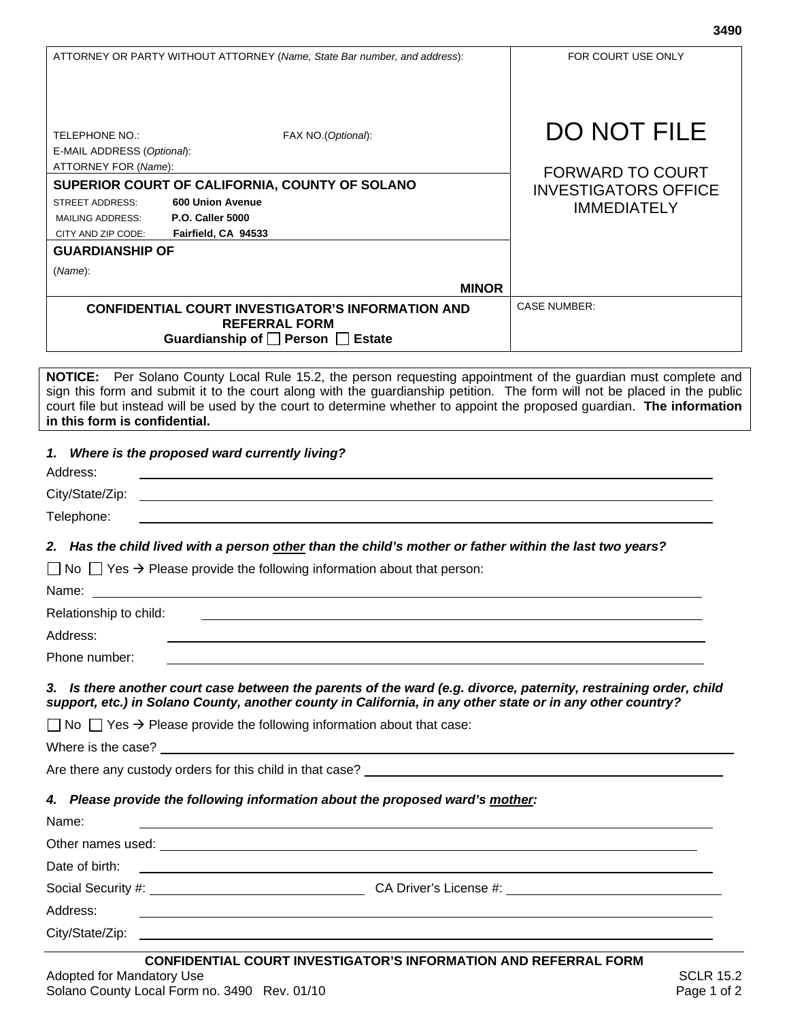FOR COURT USE ONLY

| <b>TELEPHONE NO.:</b><br>FAX NO. (Optional):                                                                                                                                                                                                                                                                                                                                                            | <b>DO NOT FILE</b>              |
|---------------------------------------------------------------------------------------------------------------------------------------------------------------------------------------------------------------------------------------------------------------------------------------------------------------------------------------------------------------------------------------------------------|---------------------------------|
| E-MAIL ADDRESS (Optional):                                                                                                                                                                                                                                                                                                                                                                              |                                 |
| ATTORNEY FOR (Name):                                                                                                                                                                                                                                                                                                                                                                                    | <b>FORWARD TO COURT</b>         |
| SUPERIOR COURT OF CALIFORNIA, COUNTY OF SOLANO<br>600 Union Avenue<br>STREET ADDRESS:                                                                                                                                                                                                                                                                                                                   | <b>INVESTIGATORS OFFICE</b>     |
| <b>P.O. Caller 5000</b><br><b>MAILING ADDRESS:</b>                                                                                                                                                                                                                                                                                                                                                      | <b>IMMEDIATELY</b>              |
| Fairfield, CA 94533<br>CITY AND ZIP CODE:                                                                                                                                                                                                                                                                                                                                                               |                                 |
| <b>GUARDIANSHIP OF</b>                                                                                                                                                                                                                                                                                                                                                                                  |                                 |
| (Name):                                                                                                                                                                                                                                                                                                                                                                                                 |                                 |
| <b>MINOR</b>                                                                                                                                                                                                                                                                                                                                                                                            | <b>CASE NUMBER:</b>             |
| <b>CONFIDENTIAL COURT INVESTIGATOR'S INFORMATION AND</b><br><b>REFERRAL FORM</b>                                                                                                                                                                                                                                                                                                                        |                                 |
| Guardianship of □ Person □ Estate                                                                                                                                                                                                                                                                                                                                                                       |                                 |
|                                                                                                                                                                                                                                                                                                                                                                                                         |                                 |
| NOTICE: Per Solano County Local Rule 15.2, the person requesting appointment of the guardian must complete and<br>sign this form and submit it to the court along with the guardianship petition. The form will not be placed in the public<br>court file but instead will be used by the court to determine whether to appoint the proposed guardian. The information<br>in this form is confidential. |                                 |
| 1. Where is the proposed ward currently living?<br>Address:                                                                                                                                                                                                                                                                                                                                             |                                 |
| City/State/Zip:<br><u>and the control of the control of the control of the control of the control of the control of the control of the control of the control of the control of the control of the control of the control of the control of the con</u>                                                                                                                                                 |                                 |
| Telephone:                                                                                                                                                                                                                                                                                                                                                                                              |                                 |
|                                                                                                                                                                                                                                                                                                                                                                                                         |                                 |
| 2. Has the child lived with a person other than the child's mother or father within the last two years?                                                                                                                                                                                                                                                                                                 |                                 |
| $\Box$ No $\Box$ Yes $\rightarrow$ Please provide the following information about that person:<br>Name: Name: 2008 and 2008 and 2008 and 2008 and 2008 and 2008 and 2008 and 2008 and 2008 and 2008 and 2008 and 2008 and 2008 and 2008 and 2008 and 2008 and 2008 and 2008 and 2008 and 2008 and 2008 and 2008 and 2008 and 200                                                                        |                                 |
| Relationship to child:                                                                                                                                                                                                                                                                                                                                                                                  |                                 |
| Address:                                                                                                                                                                                                                                                                                                                                                                                                |                                 |
| Phone number:                                                                                                                                                                                                                                                                                                                                                                                           |                                 |
| 3. Is there another court case between the parents of the ward (e.g. divorce, paternity, restraining order, child<br>support, etc.) in Solano County, another county in California, in any other state or in any other country?                                                                                                                                                                         |                                 |
| $\Box$ No $\Box$ Yes $\rightarrow$ Please provide the following information about that case:                                                                                                                                                                                                                                                                                                            |                                 |
|                                                                                                                                                                                                                                                                                                                                                                                                         |                                 |
| Are there any custody orders for this child in that case?<br>Are there any custody orders for this child in that case?                                                                                                                                                                                                                                                                                  |                                 |
| 4. Please provide the following information about the proposed ward's mother:                                                                                                                                                                                                                                                                                                                           |                                 |
| Name:<br><u> 1989 - Johann Stoff, amerikansk politiker (d. 1989)</u>                                                                                                                                                                                                                                                                                                                                    |                                 |
|                                                                                                                                                                                                                                                                                                                                                                                                         |                                 |
| Date of birth:<br><u> 1980 - Johann Barn, mars ann an t-Amhain Aonaichte ann an t-Aonaichte ann an t-Aonaichte ann an t-Aonaichte a</u>                                                                                                                                                                                                                                                                 |                                 |
|                                                                                                                                                                                                                                                                                                                                                                                                         |                                 |
| Address:                                                                                                                                                                                                                                                                                                                                                                                                |                                 |
| <u> 1989 - Johann Stoff, amerikansk politiker (d. 1989)</u>                                                                                                                                                                                                                                                                                                                                             |                                 |
|                                                                                                                                                                                                                                                                                                                                                                                                         |                                 |
| <b>CONFIDENTIAL COURT INVESTIGATOR'S INFORMATION AND REFERRAL FORM</b><br>Adopted for Mandatory Use<br>Solano County Local Form no. 3490 Rev. 01/10                                                                                                                                                                                                                                                     | <b>SCLR 15.2</b><br>Page 1 of 2 |

ATTORNEY OR PARTY WITHOUT ATTORNEY (*Name, State Bar number, and address*):